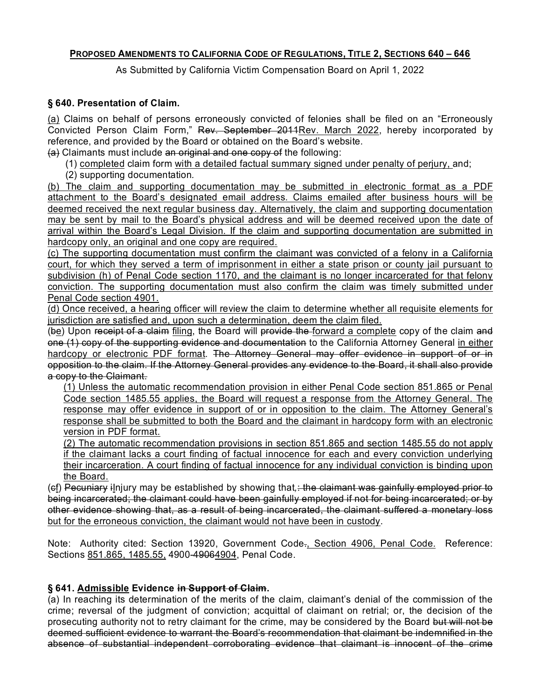#### **PROPOSED AMENDMENTS TO CALIFORNIA CODE OF REGULATIONS, TITLE 2, SECTIONS 640 – 646**

As Submitted by California Victim Compensation Board on April 1, 2022

#### **§ 640. Presentation of Claim.**

<u>(a)</u> Claims on behalf of persons erroneously convicted of felonies shall be filed on an "Erroneously Convicted Person Claim Form," <del>Rev. September 2011<u>Rev. March 2022</u>,</del> hereby incorporated by reference, and provided by the Board or obtained on the Board's website.

(a) Claimants must include an original and one copy of the following:

(1) completed claim form with a detailed factual summary signed under penalty of perjury, and;

(2) supporting documentation*.* 

 deemed received the next regular business day. Alternatively, the claim and supporting documentation may be sent by mail to the Board's physical address and will be deemed received upon the date of arrival within the Board's Legal Division. If the claim and supporting documentation are submitted in (b) The claim and supporting documentation may be submitted in electronic format as a PDF attachment to the Board's designated email address. Claims emailed after business hours will be hardcopy only, an original and one copy are required.

 (c) The supporting documentation must confirm the claimant was convicted of a felony in a California court, for which they served a term of imprisonment in either a state prison or county jail pursuant to subdivision (h) of Penal Code section 1170, and the claimant is no longer incarcerated for that felony conviction. The supporting documentation must also confirm the claim was timely submitted under Penal Code section 4901.

(d) Once received, a hearing officer will review the claim to determine whether all requisite elements for jurisdiction are satisfied and, upon such a determination, deem the claim filed.

(<del>b</del>e) Upon receipt of a claim <u>filing</u>, the Board will <del>provide the <u>forward a complete</u> copy of the claim and</del> one (1) copy of the supporting evidence and documentation to the California Attorney General <u>in either</u> hardcopy or electronic PDF format. The Attorney General may offer evidence in support of or in opposition to the claim. If the Attorney General provides any evidence to the Board, it shall also provide a copy to the Claimant.

 Code section 1485.55 applies, the Board will request a response from the Attorney General. The response may offer evidence in support of or in opposition to the claim. The Attorney General's response shall be submitted to both the Board and the claimant in hardcopy form with an electronic (1) Unless the automatic recommendation provision in either Penal Code section 851.865 or Penal version in PDF format.

 their incarceration. A court finding of factual innocence for any individual conviction is binding upon (2) The automatic recommendation provisions in section 851.865 and section 1485.55 do not apply if the claimant lacks a court finding of factual innocence for each and every conviction underlying the Board.

 (cf) Pecuniary iInjury may be established by showing that*,*: the claimant was gainfully employed prior to other evidence showing that, as a result of being incarcerated, the claimant suffered a monetary loss but for the erroneous conviction, the claimant would not have been in custody. being incarcerated; the claimant could have been gainfully employed if not for being incarcerated; or by

Note: Authority cited: Section 13920, Government Code-<u>, Section 4906, Penal Code.</u> Reference: Sections 851.865, 1485.55, 4900-49064904, Penal Code.

# **§ 641. Admissible Evidence in Support of Claim.**

 crime; reversal of the judgment of conviction; acquittal of claimant on retrial; or, the decision of the prosecuting authority not to retry claimant for the crime, may be considered by the Board <del>but will not be</del> absence of substantial independent corroborating evidence that claimant is innocent of the crime (a) In reaching its determination of the merits of the claim, claimant's denial of the commission of the deemed sufficient evidence to warrant the Board's recommendation that claimant be indemnified in the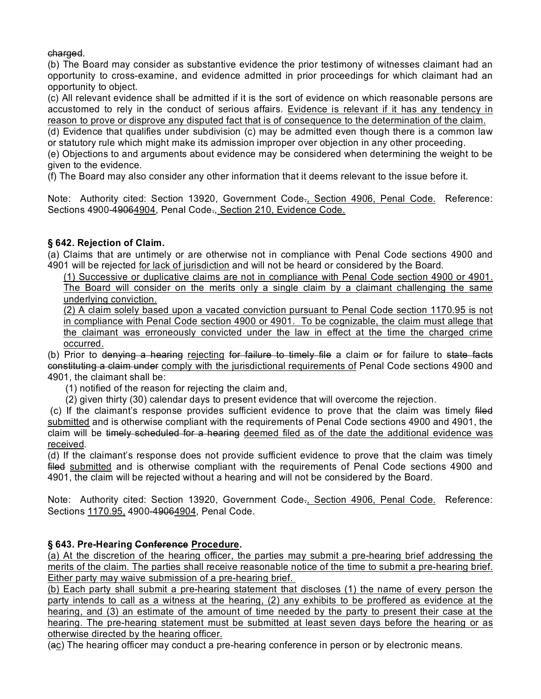charged.

 (b) The Board may consider as substantive evidence the prior testimony of witnesses claimant had an opportunity to cross-examine, and evidence admitted in prior proceedings for which claimant had an opportunity to object.

 (c) All relevant evidence shall be admitted if it is the sort of evidence on which reasonable persons are reason to prove or disprove any disputed fact that is of consequence to the determination of the claim. accustomed to rely in the conduct of serious affairs. Evidence is relevant if it has any tendency in

 (d) Evidence that qualifies under subdivision (c) may be admitted even though there is a common law or statutory rule which might make its admission improper over objection in any other proceeding.

 (e) Objections to and arguments about evidence may be considered when determining the weight to be given to the evidence.

(f) The Board may also consider any other information that it deems relevant to the issue before it.

Note: Authority cited: Section 13920, Government Code., Section 4906, Penal Code. Reference: Sections 4900-49064904, Penal Code., Section 210, Evidence Code.

# **§ 642. Rejection of Claim.**

 (a) Claims that are untimely or are otherwise not in compliance with Penal Code sections 4900 and 4901 will be rejected for lack of jurisdiction and will not be heard or considered by the Board.

 (1) Successive or duplicative claims are not in compliance with Penal Code section 4900 or 4901. The Board will consider on the merits only a single claim by a claimant challenging the same underlying conviction.

 (2) A claim solely based upon a vacated conviction pursuant to Penal Code section 1170.95 is not in compliance with Penal Code section 4900 or 4901. To be cognizable, the claim must allege that the claimant was erroneously convicted under the law in effect at the time the charged crime occurred.

(b) Prior to <del>denying a hearing <u>rej</u>ecting for failure to timely file</del> a claim <del>or</del> for failure to <del>state facts</del> constituting a claim under <u>comply with the jurisdictional requirements of</u> Penal Code sections 4900 and 4901, the claimant shall be:

(1) notified of the reason for rejecting the claim and,

(2) given thirty (30) calendar days to present evidence that will overcome the rejection.

(c) If the claimant's response provides sufficient evidence to prove that the claim was timely <del>filed</del> claim will be <del>timely scheduled for a hearing</del> <u>deemed filed as of the date the additional evidence was</u> submitted and is otherwise compliant with the requirements of Penal Code sections 4900 and 4901, the received*.* 

 (d) If the claimant's response does not provide sufficient evidence to prove that the claim was timely filed <u>submitted</u> and is otherwise compliant with the requirements of Penal Code sections 4900 and 4901, the claim will be rejected without a hearing and will not be considered by the Board.

Note: Authority cited: Section 13920, Government Code<del>.<u>, Section 4906, Penal Code.</u> Reference:</del> Sections 1170.95, 4900-49064904, Penal Code.

# **§ 643. Pre-Hearing Conference Procedure.**

 (a) At the discretion of the hearing officer, the parties may submit a pre-hearing brief addressing the merits of the claim. The parties shall receive reasonable notice of the time to submit a pre-hearing brief. Either party may waive submission of a pre-hearing brief.

 (b) Each party shall submit a pre-hearing statement that discloses (1) the name of every person the party intends to call as a witness at the hearing, (2) any exhibits to be proffered as evidence at the hearing, and (3) an estimate of the amount of time needed by the party to present their case at the hearing. The pre-hearing statement must be submitted at least seven days before the hearing or as otherwise directed by the hearing officer.

(ac) The hearing officer may conduct a pre-hearing conference in person or by electronic means.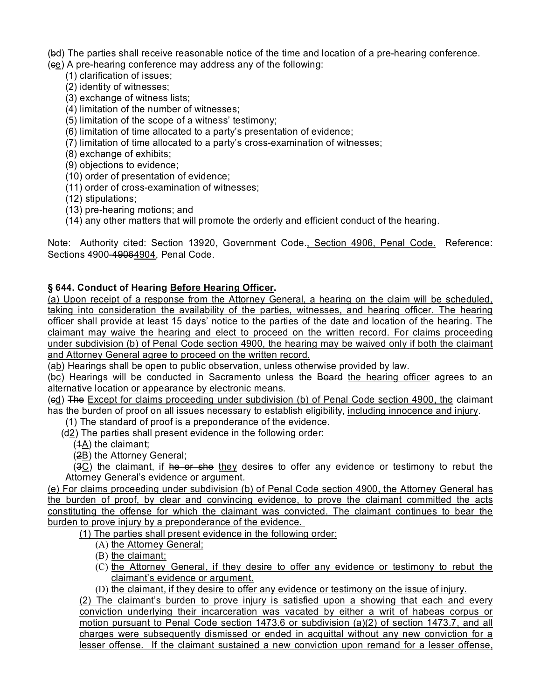- (b<u>d</u>) The parties shall receive reasonable notice of the time and location of a pre-hearing conference.
- (<del>c<u>e</u></del>) A pre-hearing conference may address any of the following:
	- (1) clarification of issues;
	- (2) identity of witnesses;
	- (3) exchange of witness lists;
	- (4) limitation of the number of witnesses;
	- (5) limitation of the scope of a witness' testimony;
	- (6) limitation of time allocated to a party's presentation of evidence;
	- (7) limitation of time allocated to a party's cross-examination of witnesses;
	- (8) exchange of exhibits;
	- (9) objections to evidence;
	- (10) order of presentation of evidence;
	- (11) order of cross-examination of witnesses;
	- (12) stipulations;
	- (13) pre-hearing motions; and
	- (14) any other matters that will promote the orderly and efficient conduct of the hearing.

 Note: Authority cited: Section 13920, Government Code., Section 4906, Penal Code. Reference: Sections 4900-49064904, Penal Code.

#### **§ 644. Conduct of Hearing Before Hearing Officer.**

 officer shall provide at least 15 days' notice to the parties of the date and location of the hearing. The claimant may waive the hearing and elect to proceed on the written record. For claims proceeding (a) Upon receipt of a response from the Attorney General, a hearing on the claim will be scheduled, taking into consideration the availability of the parties, witnesses, and hearing officer. The hearing under subdivision (b) of Penal Code section 4900, the hearing may be waived only if both the claimant and Attorney General agree to proceed on the written record.

(ab) Hearings shall be open to public observation, unless otherwise provided by law.

(bc) Hearings will be conducted in Sacramento unless the Board the hearing officer agrees to an alternative location or appearance by electronic means.

(e<u>d</u>) <del>The <u>Except for claims proceeding under subdivision (b) of Penal Code section 4900, the claimant</del></u> has the burden of proof on all issues necessary to establish eligibility*,* including innocence and injury.

(1) The standard of proof is a preponderance of the evidence.

(d2) The parties shall present evidence in the following order:

(1A) the claimant;

(2B) the Attorney General;

(3C) the claimant, if he or she they desires to offer any evidence or testimony to rebut the Attorney General's evidence or argument.

 (e) For claims proceeding under subdivision (b) of Penal Code section 4900, the Attorney General has the burden of proof, by clear and convincing evidence, to prove the claimant committed the acts constituting the offense for which the claimant was convicted. The claimant continues to bear the burden to prove injury by a preponderance of the evidence.

(1) The parties shall present evidence in the following order:

- (A) the Attorney General;
- (B) the claimant;
- (C) <u>the Attorney General, if they desire to offer any evidence or testimony to rebut the</u> claimant's evidence or argument.
- (D) the claimant, if they desire to offer any evidence or testimony on the issue of injury.

 (2) The claimant's burden to prove injury is satisfied upon a showing that each and every conviction underlying their incarceration was vacated by either a writ of habeas corpus or charges were subsequently dismissed or ended in acquittal without any new conviction for a lesser offense. If the claimant sustained a new conviction upon remand for a lesser offense, motion pursuant to Penal Code section 1473.6 or subdivision (a)(2) of section 1473.7, and all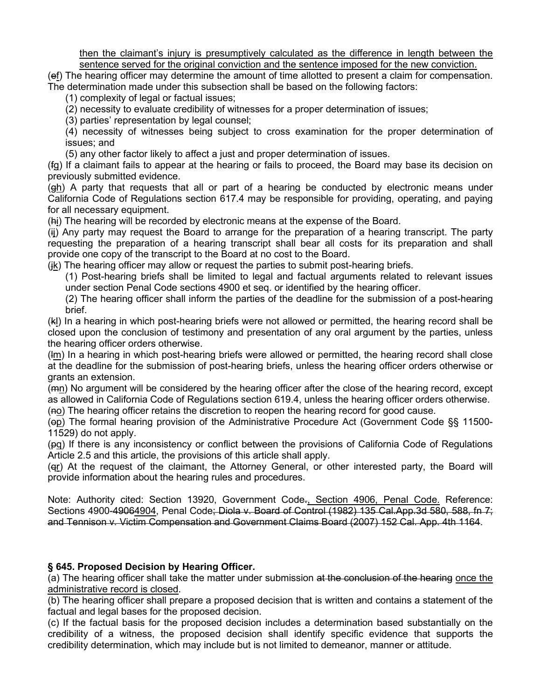sentence served for the original conviction and the sentence imposed for the new conviction. then the claimant's injury is presumptively calculated as the difference in length between the

sentence served for the original conviction and the sentence imposed for the new conviction.<br>(e<u>f</u>) The hearing officer may determine the amount of time allotted to present a claim for compensation. The determination made under this subsection shall be based on the following factors:

(1) complexity of legal or factual issues;

(2) necessity to evaluate credibility of witnesses for a proper determination of issues;

(3) parties' representation by legal counsel;

(4) necessity of witnesses being subject to cross examination for the proper determination of issues; and

(5) any other factor likely to affect a just and proper determination of issues.

 previously submitted evidence. (fg) If a claimant fails to appear at the hearing or fails to proceed, the Board may base its decision on

 California Code of Regulations section 617.4 may be responsible for providing, operating, and paying  $(gh)$  A party that requests that all or part of a hearing be conducted by electronic means under for all necessary equipment.

(hi) The hearing will be recorded by electronic means at the expense of the Board.

 (ij) Any party may request the Board to arrange for the preparation of a hearing transcript. The party requesting the preparation of a hearing transcript shall bear all costs for its preparation and shall provide one copy of the transcript to the Board at no cost to the Board.

 $(\underline{\mathsf{ik}})$  The hearing officer may allow or request the parties to submit post-hearing briefs.

(1) Post-hearing briefs shall be limited to legal and factual arguments related to relevant issues under section Penal Code sections 4900 et seq. or identified by the hearing officer.

(2) The hearing officer shall inform the parties of the deadline for the submission of a post-hearing brief.

(kl) In a hearing in which post-hearing briefs were not allowed or permitted, the hearing record shall be closed upon the conclusion of testimony and presentation of any oral argument by the parties, unless the hearing officer orders otherwise.

(lm) In a hearing in which post-hearing briefs were allowed or permitted, the hearing record shall close at the deadline for the submission of post-hearing briefs, unless the hearing officer orders otherwise or grants an extension.

 $(\overline{m_{\text{I}}})$  No argument will be considered by the hearing officer after the close of the hearing record, except as allowed in California Code of Regulations section 619.4, unless the hearing officer orders otherwise.

(no) The hearing officer retains the discretion to reopen the hearing record for good cause.

(op) The formal hearing provision of the Administrative Procedure Act (Government Code §§ 11500- 11529) do not apply.

(pg) If there is any inconsistency or conflict between the provisions of California Code of Regulations Article 2.5 and this article, the provisions of this article shall apply.

(qr) At the request of the claimant, the Attorney General, or other interested party, the Board will provide information about the hearing rules and procedures.

Note: Authority cited: Section 13920, Government Code., Section 4906, Penal Code. Reference: Sections 4900-49064904, Penal Code; Diola v. Board of Control (1982) 135 [Cal.App.3d](https://Cal.App.3d) 580, 588, fn 7; and Tennison v. Victim Compensation and Government Claims Board (2007) 152 Cal. App. 4th 1164.

# **§ 645. Proposed Decision by Hearing Officer.**

(a) The hearing officer shall take the matter under submission at the conclusion of the hearing once the administrative record is closed.

 (b) The hearing officer shall prepare a proposed decision that is written and contains a statement of the factual and legal bases for the proposed decision.

 credibility of a witness, the proposed decision shall identify specific evidence that supports the (c) If the factual basis for the proposed decision includes a determination based substantially on the credibility determination, which may include but is not limited to demeanor, manner or attitude.